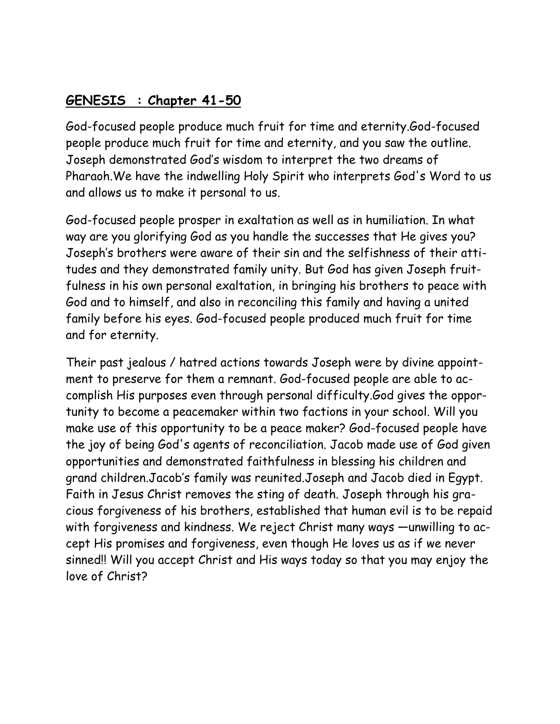## **GENESIS : Chapter 41-50**

God-focused people produce much fruit for time and eternity.God-focused people produce much fruit for time and eternity, and you saw the outline. Joseph demonstrated God's wisdom to interpret the two dreams of Pharaoh.We have the indwelling Holy Spirit who interprets God's Word to us and allows us to make it personal to us.

God-focused people prosper in exaltation as well as in humiliation. In what way are you glorifying God as you handle the successes that He gives you? Joseph's brothers were aware of their sin and the selfishness of their attitudes and they demonstrated family unity. But God has given Joseph fruitfulness in his own personal exaltation, in bringing his brothers to peace with God and to himself, and also in reconciling this family and having a united family before his eyes. God-focused people produced much fruit for time and for eternity.

Their past jealous / hatred actions towards Joseph were by divine appointment to preserve for them a remnant. God-focused people are able to accomplish His purposes even through personal difficulty.God gives the opportunity to become a peacemaker within two factions in your school. Will you make use of this opportunity to be a peace maker? God-focused people have the joy of being God's agents of reconciliation. Jacob made use of God given opportunities and demonstrated faithfulness in blessing his children and grand children.Jacob's family was reunited.Joseph and Jacob died in Egypt. Faith in Jesus Christ removes the sting of death. Joseph through his gracious forgiveness of his brothers, established that human evil is to be repaid with forgiveness and kindness. We reject Christ many ways —unwilling to accept His promises and forgiveness, even though He loves us as if we never sinned!! Will you accept Christ and His ways today so that you may enjoy the love of Christ?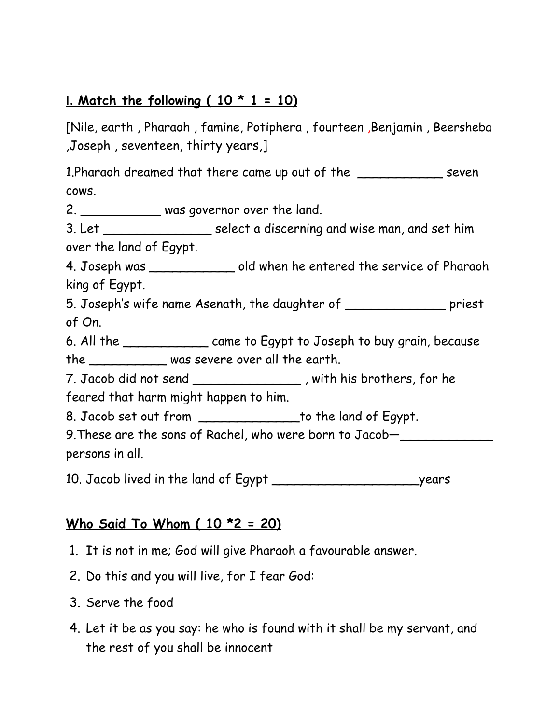### **I.** Match the following (  $10 * 1 = 10$ )

[Nile, earth , Pharaoh , famine, Potiphera , fourteen ,Benjamin , Beersheba ,Joseph , seventeen, thirty years,]

1.Pharaoh dreamed that there came up out of the \_\_\_\_\_\_\_\_\_\_\_ seven cows.

2. \_\_\_\_\_\_\_\_\_\_\_\_\_ was governor over the land.

3. Let \_\_\_\_\_\_\_\_\_\_\_\_\_\_ select a discerning and wise man, and set him over the land of Egypt.

4. Joseph was \_\_\_\_\_\_\_\_\_\_\_ old when he entered the service of Pharaoh king of Egypt.

5. Joseph's wife name Asenath, the daughter of \_\_\_\_\_\_\_\_\_\_\_\_\_ priest of On.

6. All the \_\_\_\_\_\_\_\_\_\_\_ came to Egypt to Joseph to buy grain, because the \_\_\_\_\_\_\_\_\_\_ was severe over all the earth.

7. Jacob did not send \_\_\_\_\_\_\_\_\_\_\_\_\_\_ , with his brothers, for he feared that harm might happen to him.

8. Jacob set out from to the land of Egypt.

9. These are the sons of Rachel, who were born to Jacob-

persons in all.

10. Jacob lived in the land of Egypt years

### **Who Said To Whom ( 10 \*2 = 20)**

- 1. It is not in me; God will give Pharaoh a favourable answer.
- 2. Do this and you will live, for I fear God:
- 3. Serve the food
- 4. Let it be as you say: he who is found with it shall be my servant, and the rest of you shall be innocent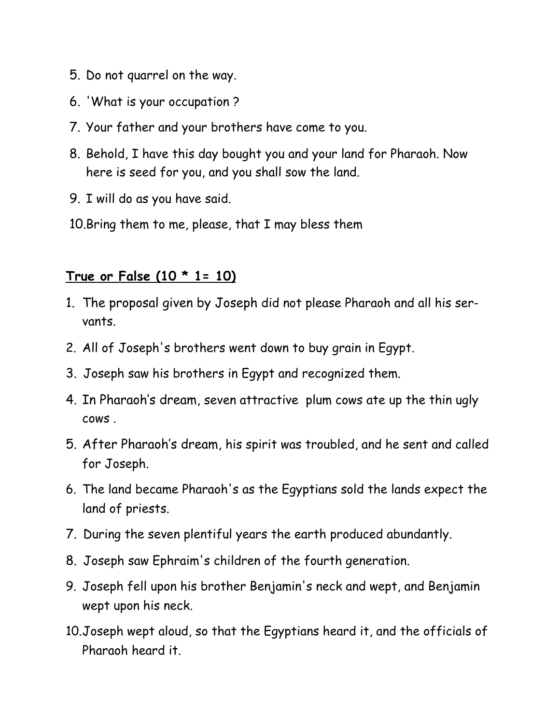- 5. Do not quarrel on the way.
- 6. 'What is your occupation ?
- 7. Your father and your brothers have come to you.
- 8. Behold, I have this day bought you and your land for Pharaoh. Now here is seed for you, and you shall sow the land.
- 9. I will do as you have said.
- 10.Bring them to me, please, that I may bless them

#### **True or False (10 \* 1= 10)**

- 1. The proposal given by Joseph did not please Pharaoh and all his servants.
- 2. All of Joseph's brothers went down to buy grain in Egypt.
- 3. Joseph saw his brothers in Egypt and recognized them.
- 4. In Pharaoh's dream, seven attractive plum cows ate up the thin ugly cows .
- 5. After Pharaoh's dream, his spirit was troubled, and he sent and called for Joseph.
- 6. The land became Pharaoh's as the Egyptians sold the lands expect the land of priests.
- 7. During the seven plentiful years the earth produced abundantly.
- 8. Joseph saw Ephraim's children of the fourth generation.
- 9. Joseph fell upon his brother Benjamin's neck and wept, and Benjamin wept upon his neck.
- 10.Joseph wept aloud, so that the Egyptians heard it, and the officials of Pharaoh heard it.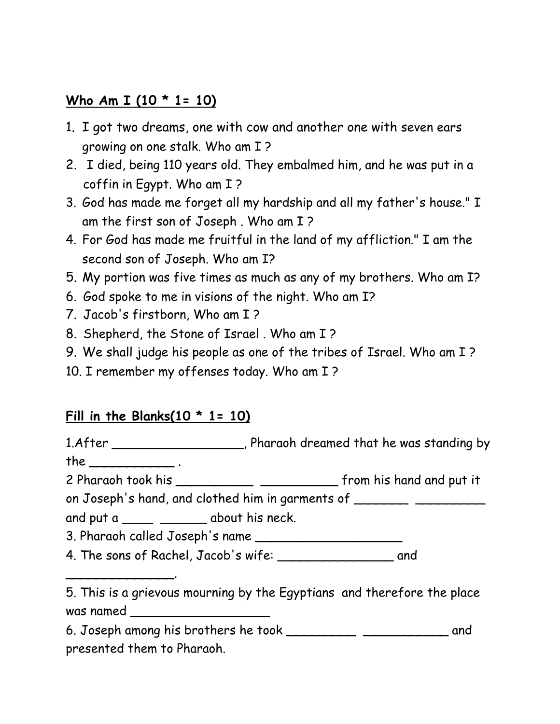## **Who Am I (10 \* 1= 10)**

- 1. I got two dreams, one with cow and another one with seven ears growing on one stalk. Who am I ?
- 2. I died, being 110 years old. They embalmed him, and he was put in a coffin in Egypt. Who am I ?
- 3. God has made me forget all my hardship and all my father's house." I am the first son of Joseph . Who am I ?
- 4. For God has made me fruitful in the land of my affliction." I am the second son of Joseph. Who am I?
- 5. My portion was five times as much as any of my brothers. Who am I?
- 6. God spoke to me in visions of the night. Who am I?
- 7. Jacob's firstborn, Who am I ?
- 8. Shepherd, the Stone of Israel . Who am I ?
- 9. We shall judge his people as one of the tribes of Israel. Who am I ?
- 10. I remember my offenses today. Who am I ?

# **Fill in the Blanks(10 \* 1= 10)**

1.After \_\_\_\_\_\_\_\_\_\_\_\_\_\_\_\_\_, Pharaoh dreamed that he was standing by

the  $\qquad$ .

\_\_\_\_\_\_\_\_\_\_\_\_\_\_.

2 Pharaoh took his \_\_\_\_\_\_\_\_\_\_\_\_\_ \_\_\_\_\_\_\_\_\_\_\_\_\_ from his hand and put it

on Joseph's hand, and clothed him in garments of

and put a \_\_\_\_\_\_\_\_\_\_\_\_\_\_ about his neck.

3. Pharaoh called Joseph's name \_\_\_\_\_\_\_\_\_\_\_\_\_\_\_\_\_\_\_

4. The sons of Rachel, Jacob's wife: \_\_\_\_\_\_\_\_\_\_\_\_\_\_\_ and

<sup>5.</sup> This is a grievous mourning by the Egyptians and therefore the place was named \_\_\_\_\_\_\_\_\_\_\_\_\_\_\_\_\_\_

<sup>6.</sup> Joseph among his brothers he took \_\_\_\_\_\_\_\_\_ \_\_\_\_\_\_\_\_\_\_\_ and presented them to Pharaoh.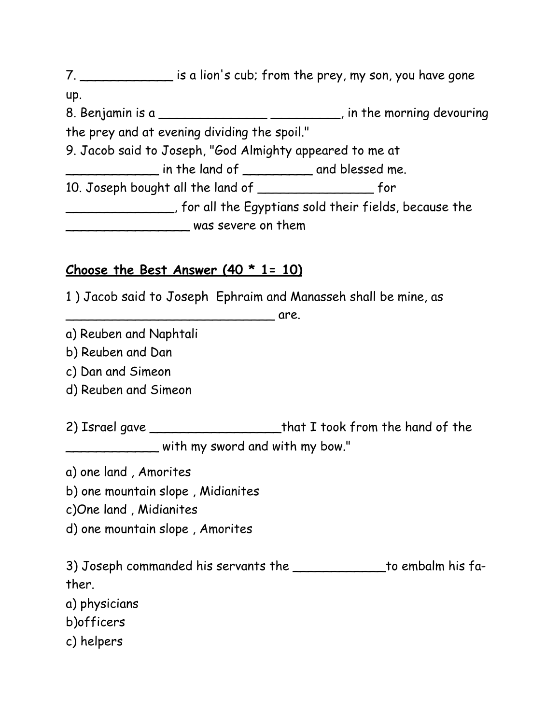7. \_\_\_\_\_\_\_\_\_\_\_\_\_\_\_ is a lion's cub; from the prey, my son, you have gone up. 8. Benjamin is a \_\_\_\_\_\_\_\_\_\_\_\_\_\_\_\_\_\_\_\_\_\_\_\_\_\_\_\_, in the morning devouring the prey and at evening dividing the spoil." 9. Jacob said to Joseph, "God Almighty appeared to me at \_\_\_\_\_\_\_\_\_\_\_\_ in the land of \_\_\_\_\_\_\_\_\_ and blessed me. 10. Joseph bought all the land of \_\_\_\_\_\_\_\_\_\_\_\_\_\_\_ for \_\_\_\_\_\_\_\_\_\_\_\_\_\_, for all the Egyptians sold their fields, because the \_\_\_\_\_\_\_\_\_\_\_\_\_\_\_\_ was severe on them

### **Choose the Best Answer (40 \* 1= 10)**

1 ) Jacob said to Joseph Ephraim and Manasseh shall be mine, as

**example 2 are.** The same state  $\overline{a}$  are.

a) Reuben and Naphtali

b) Reuben and Dan

c) Dan and Simeon

d) Reuben and Simeon

2) Israel gave \_\_\_\_\_\_\_\_\_\_\_\_\_\_\_\_\_\_\_\_\_\_that I took from the hand of the \_\_\_\_\_\_\_\_\_\_\_\_ with my sword and with my bow."

a) one land , Amorites

b) one mountain slope , Midianites

c)One land , Midianites

d) one mountain slope , Amorites

3) Joseph commanded his servants the \_\_\_\_\_\_\_\_\_\_\_\_to embalm his father.

a) physicians

b)officers

c) helpers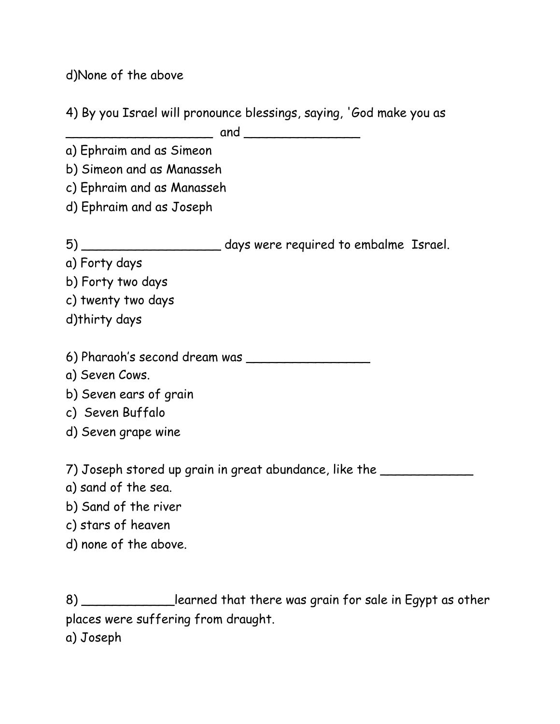d)None of the above

4) By you Israel will pronounce blessings, saying, 'God make you as

\_\_\_\_\_\_\_\_\_\_\_\_\_\_\_\_\_\_\_ and \_\_\_\_\_\_\_\_\_\_\_\_\_\_\_

a) Ephraim and as Simeon

b) Simeon and as Manasseh

c) Ephraim and as Manasseh

d) Ephraim and as Joseph

5) \_\_\_\_\_\_\_\_\_\_\_\_\_\_\_\_\_\_ days were required to embalme Israel.

a) Forty days

b) Forty two days

c) twenty two days

d)thirty days

6) Pharaoh's second dream was \_\_\_\_\_\_\_\_\_\_\_\_\_\_\_\_

a) Seven Cows.

b) Seven ears of grain

c) Seven Buffalo

d) Seven grape wine

7) Joseph stored up grain in great abundance, like the \_\_\_\_\_\_\_\_\_\_\_\_

a) sand of the sea.

b) Sand of the river

c) stars of heaven

d) none of the above.

8) \_\_\_\_\_\_\_\_\_\_\_\_\_learned that there was grain for sale in Egypt as other places were suffering from draught.

a) Joseph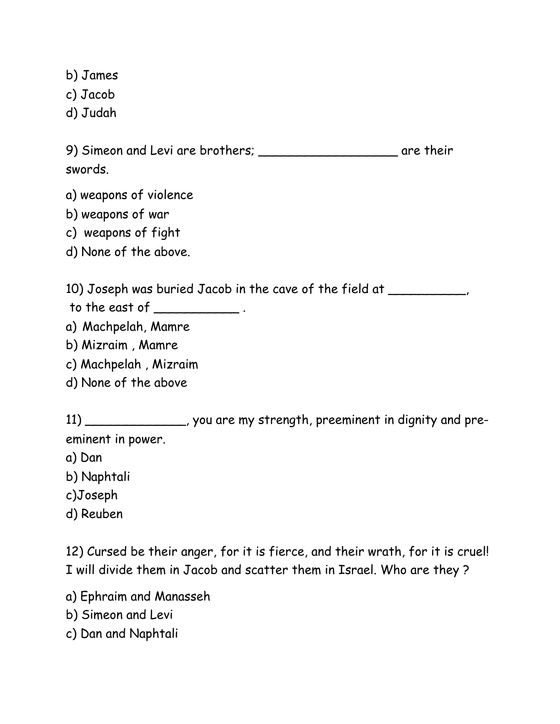b) James

- c) Jacob
- d) Judah

9) Simeon and Levi are brothers; \_\_\_\_\_\_\_\_\_\_\_\_\_\_\_\_\_\_\_\_\_\_ are their swords.

- a) weapons of violence
- b) weapons of war
- c) weapons of fight
- d) None of the above.

10) Joseph was buried Jacob in the cave of the field at \_\_\_\_\_\_\_\_\_\_

- to the east of \_\_\_\_\_\_\_\_\_\_\_ .
- a) Machpelah, Mamre
- b) Mizraim , Mamre
- c) Machpelah , Mizraim
- d) None of the above

11) \_\_\_\_\_\_\_\_\_\_\_\_\_, you are my strength, preeminent in dignity and preeminent in power.

- a) Dan
- b) Naphtali
- c)Joseph
- d) Reuben

12) Cursed be their anger, for it is fierce, and their wrath, for it is cruel! I will divide them in Jacob and scatter them in Israel. Who are they ?

- a) Ephraim and Manasseh
- b) Simeon and Levi
- c) Dan and Naphtali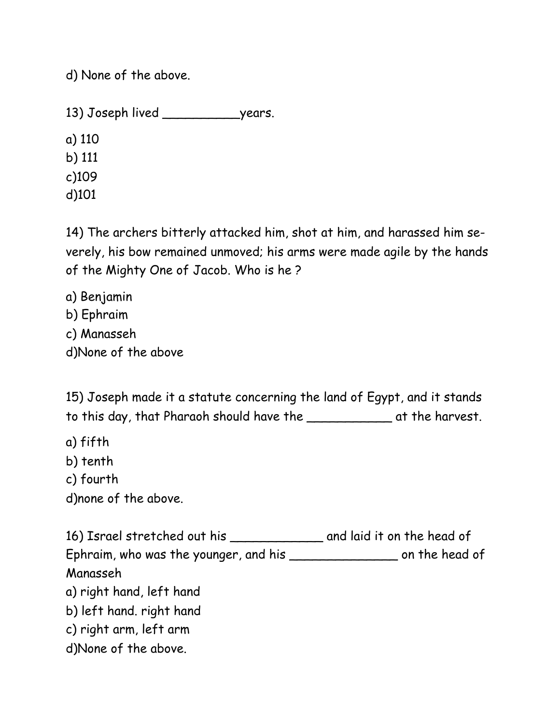d) None of the above.

13) Joseph lived \_\_\_\_\_\_\_\_\_\_\_\_\_\_\_years.

a) 110 b) 111 c)109 d)101

14) The archers bitterly attacked him, shot at him, and harassed him severely, his bow remained unmoved; his arms were made agile by the hands of the Mighty One of Jacob. Who is he ?

a) Benjamin b) Ephraim c) Manasseh d)None of the above

15) Joseph made it a statute concerning the land of Egypt, and it stands to this day, that Pharaoh should have the \_\_\_\_\_\_\_\_\_\_\_ at the harvest.

a) fifth

b) tenth

c) fourth

d)none of the above.

16) Israel stretched out his \_\_\_\_\_\_\_\_\_\_\_\_ and laid it on the head of Ephraim, who was the younger, and his \_\_\_\_\_\_\_\_\_\_\_\_\_\_\_\_\_\_\_\_\_ on the head of Manasseh a) right hand, left hand b) left hand. right hand c) right arm, left arm d)None of the above.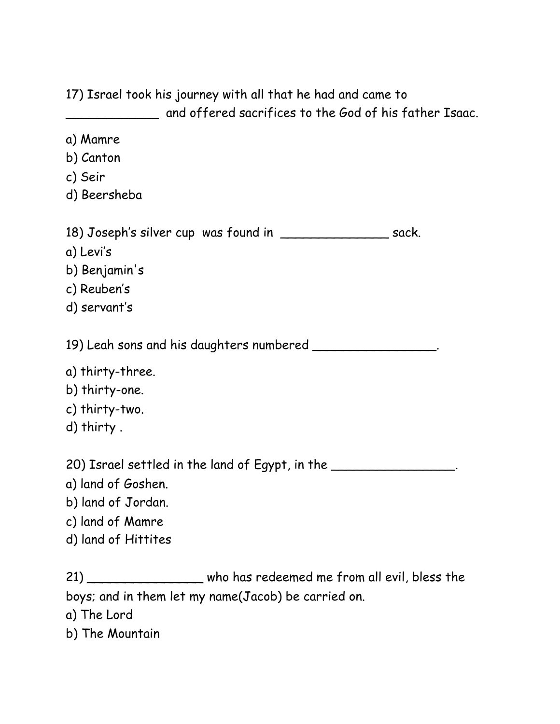17) Israel took his journey with all that he had and came to and offered sacrifices to the God of his father Isaac.

- a) Mamre
- b) Canton
- c) Seir
- d) Beersheba

18) Joseph's silver cup was found in \_\_\_\_\_\_\_\_\_\_\_\_\_\_ sack.

- a) Levi's
- b) Benjamin's
- c) Reuben's
- d) servant's

19) Leah sons and his daughters numbered \_\_\_\_\_\_\_\_\_\_\_\_\_\_\_\_.

- a) thirty-three.
- b) thirty-one.
- c) thirty-two.
- d) thirty .

20) Israel settled in the land of Egypt, in the \_\_\_\_\_\_\_\_\_\_\_\_\_\_\_\_\_\_.

- a) land of Goshen.
- b) land of Jordan.
- c) land of Mamre
- d) land of Hittites

21) \_\_\_\_\_\_\_\_\_\_\_\_\_\_\_\_\_ who has redeemed me from all evil, bless the boys; and in them let my name(Jacob) be carried on.

- a) The Lord
- b) The Mountain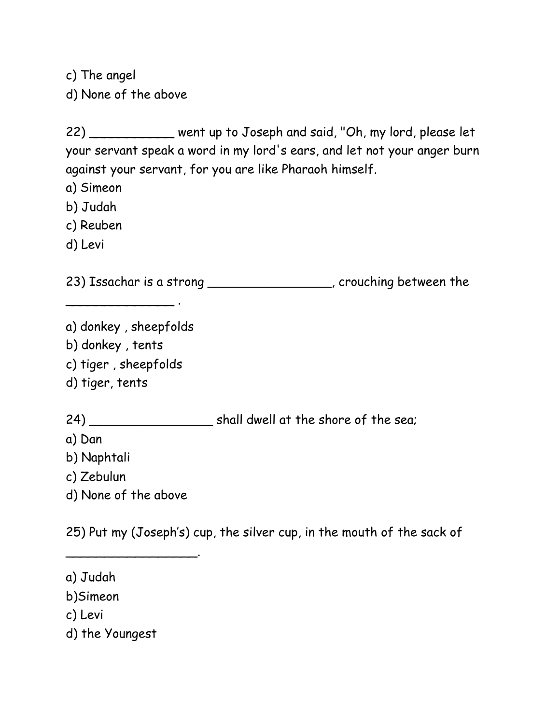c) The angel d) None of the above

22) \_\_\_\_\_\_\_\_\_\_\_ went up to Joseph and said, "Oh, my lord, please let your servant speak a word in my lord's ears, and let not your anger burn against your servant, for you are like Pharaoh himself.

- a) Simeon
- b) Judah
- c) Reuben
- d) Levi

23) Issachar is a strong \_\_\_\_\_\_\_\_\_\_\_\_\_\_\_, crouching between the

a) donkey , sheepfolds b) donkey , tents c) tiger , sheepfolds

\_\_\_\_\_\_\_\_\_\_\_\_\_\_ .

d) tiger, tents

24) \_\_\_\_\_\_\_\_\_\_\_\_\_\_\_\_\_\_\_\_\_\_ shall dwell at the shore of the sea;

a) Dan

b) Naphtali

c) Zebulun

d) None of the above

\_\_\_\_\_\_\_\_\_\_\_\_\_\_\_\_\_.

25) Put my (Joseph's) cup, the silver cup, in the mouth of the sack of

a) Judah

b)Simeon

c) Levi

d) the Youngest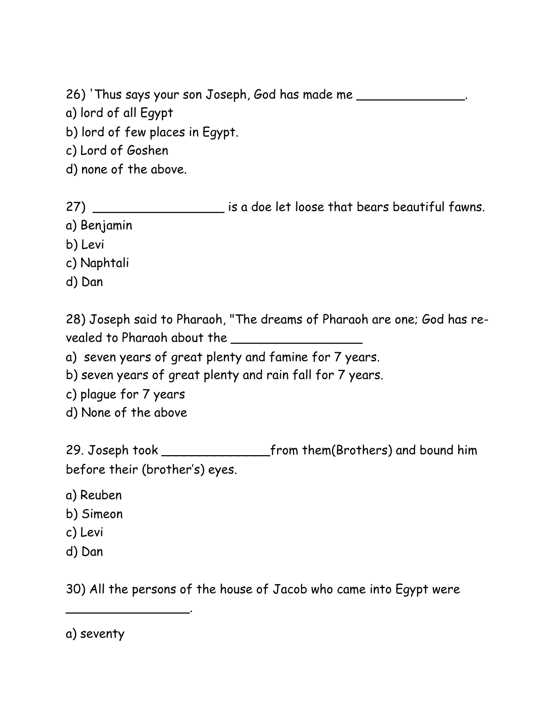26) 'Thus says your son Joseph, God has made me

- a) lord of all Egypt
- b) lord of few places in Egypt.
- c) Lord of Goshen
- d) none of the above.

27) \_\_\_\_\_\_\_\_\_\_\_\_\_\_\_\_\_\_\_ is a doe let loose that bears beautiful fawns.

- a) Benjamin
- b) Levi
- c) Naphtali
- d) Dan

28) Joseph said to Pharaoh, "The dreams of Pharaoh are one; God has revealed to Pharaoh about the \_\_\_\_\_\_\_\_\_\_\_\_\_\_\_\_\_

a) seven years of great plenty and famine for 7 years.

b) seven years of great plenty and rain fall for 7 years.

- c) plague for 7 years
- d) None of the above

29. Joseph took \_\_\_\_\_\_\_\_\_\_\_\_\_\_from them(Brothers) and bound him before their (brother's) eyes.

- a) Reuben
- b) Simeon
- c) Levi
- d) Dan

30) All the persons of the house of Jacob who came into Egypt were

a) seventy

\_\_\_\_\_\_\_\_\_\_\_\_\_\_\_\_.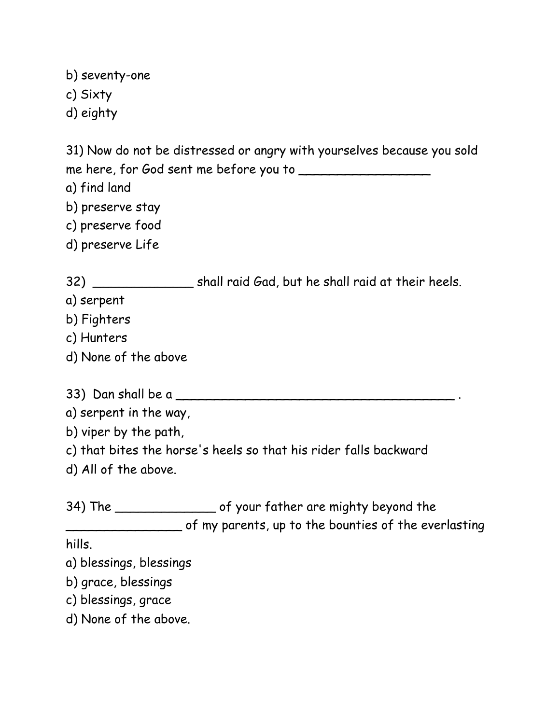b) seventy-one

- c) Sixty
- d) eighty

31) Now do not be distressed or angry with yourselves because you sold me here, for God sent me before you to

- a) find land
- b) preserve stay
- c) preserve food
- d) preserve Life

32) \_\_\_\_\_\_\_\_\_\_\_\_\_ shall raid Gad, but he shall raid at their heels.

- a) serpent
- b) Fighters
- c) Hunters
- d) None of the above
- 33) Dan shall be a \_\_\_\_\_\_\_\_\_\_\_\_\_\_\_\_\_\_\_\_\_\_\_\_\_\_\_\_\_\_\_\_\_\_\_\_ .
- a) serpent in the way,
- b) viper by the path,
- c) that bites the horse's heels so that his rider falls backward
- d) All of the above.

34) The \_\_\_\_\_\_\_\_\_\_\_\_\_ of your father are mighty beyond the \_\_\_\_\_\_\_\_\_\_\_\_\_\_\_ of my parents, up to the bounties of the everlasting

hills.

- a) blessings, blessings
- b) grace, blessings
- c) blessings, grace
- d) None of the above.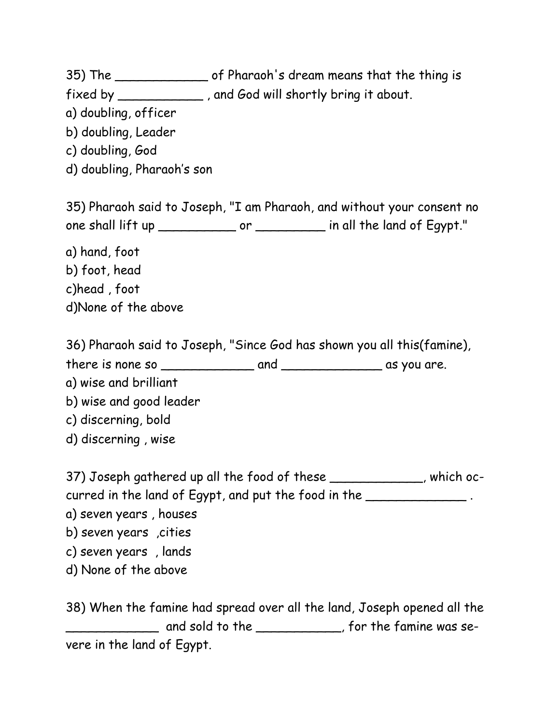35) The \_\_\_\_\_\_\_\_\_\_\_\_ of Pharaoh's dream means that the thing is

- fixed by \_\_\_\_\_\_\_\_\_\_\_ , and God will shortly bring it about.
- a) doubling, officer
- b) doubling, Leader
- c) doubling, God
- d) doubling, Pharaoh's son

35) Pharaoh said to Joseph, "I am Pharaoh, and without your consent no one shall lift up \_\_\_\_\_\_\_\_\_\_\_\_\_\_ or \_\_\_\_\_\_\_\_\_\_\_ in all the land of Egypt."

- a) hand, foot b) foot, head c)head , foot
- d)None of the above

36) Pharaoh said to Joseph, "Since God has shown you all this(famine),

there is none so \_\_\_\_\_\_\_\_\_\_\_\_ and \_\_\_\_\_\_\_\_\_\_\_\_\_ as you are.

- a) wise and brilliant
- b) wise and good leader
- c) discerning, bold
- d) discerning , wise

37) Joseph gathered up all the food of these \_\_\_\_\_\_\_\_\_\_\_, which occurred in the land of Egypt, and put the food in the \_\_\_\_\_\_\_\_\_\_\_\_\_\_\_.

a) seven years , houses

- b) seven years ,cities
- c) seven years , lands
- d) None of the above

38) When the famine had spread over all the land, Joseph opened all the \_\_\_\_\_\_\_\_\_\_\_\_ and sold to the \_\_\_\_\_\_\_\_\_\_\_, for the famine was severe in the land of Egypt.